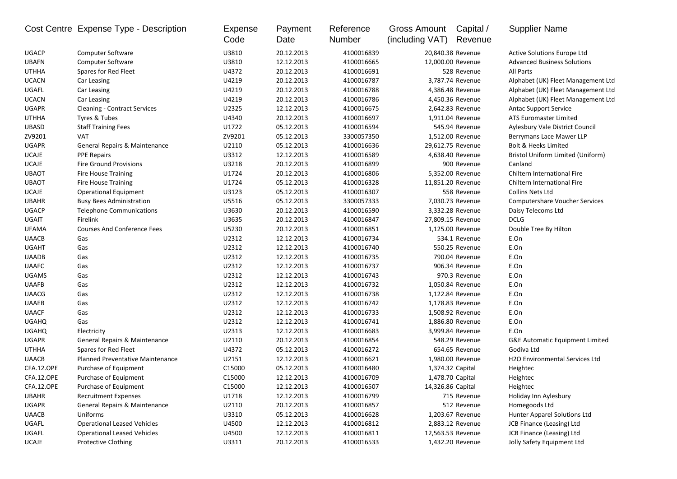|              | Cost Centre Expense Type - Description | Expense<br>Code | Payment<br>Date | Reference<br>Number | Gross Amount<br>(including VAT) | Capital /<br>Revenue | <b>Supplier Name</b>                       |
|--------------|----------------------------------------|-----------------|-----------------|---------------------|---------------------------------|----------------------|--------------------------------------------|
| <b>UGACP</b> | <b>Computer Software</b>               | U3810           | 20.12.2013      | 4100016839          |                                 | 20,840.38 Revenue    | Active Solutions Europe Ltd                |
| <b>UBAFN</b> | <b>Computer Software</b>               | U3810           | 12.12.2013      | 4100016665          |                                 | 12,000.00 Revenue    | <b>Advanced Business Solutions</b>         |
| <b>UTHHA</b> | Spares for Red Fleet                   | U4372           | 20.12.2013      | 4100016691          |                                 | 528 Revenue          | All Parts                                  |
| <b>UCACN</b> | Car Leasing                            | U4219           | 20.12.2013      | 4100016787          |                                 | 3,787.74 Revenue     | Alphabet (UK) Fleet Management Ltd         |
| UGAFL        | Car Leasing                            | U4219           | 20.12.2013      | 4100016788          |                                 | 4,386.48 Revenue     | Alphabet (UK) Fleet Management Ltd         |
| <b>UCACN</b> | Car Leasing                            | U4219           | 20.12.2013      | 4100016786          |                                 | 4,450.36 Revenue     | Alphabet (UK) Fleet Management Ltd         |
| <b>UGAPR</b> | <b>Cleaning - Contract Services</b>    | U2325           | 12.12.2013      | 4100016675          |                                 | 2,642.83 Revenue     | <b>Antac Support Service</b>               |
| <b>UTHHA</b> | Tyres & Tubes                          | U4340           | 20.12.2013      | 4100016697          |                                 | 1,911.04 Revenue     | <b>ATS Euromaster Limited</b>              |
| UBASD        | <b>Staff Training Fees</b>             | U1722           | 05.12.2013      | 4100016594          |                                 | 545.94 Revenue       | Aylesbury Vale District Council            |
| ZV9201       | <b>VAT</b>                             | ZV9201          | 05.12.2013      | 3300057350          |                                 | 1,512.00 Revenue     | Berrymans Lace Mawer LLP                   |
| <b>UGAPR</b> | General Repairs & Maintenance          | U2110           | 05.12.2013      | 4100016636          |                                 | 29,612.75 Revenue    | Bolt & Heeks Limited                       |
| <b>UCAJE</b> | <b>PPE Repairs</b>                     | U3312           | 12.12.2013      | 4100016589          |                                 | 4,638.40 Revenue     | Bristol Uniform Limited (Uniform)          |
| <b>UCAJE</b> | <b>Fire Ground Provisions</b>          | U3218           | 20.12.2013      | 4100016899          |                                 | 900 Revenue          | Canland                                    |
| <b>UBAOT</b> | Fire House Training                    | U1724           | 20.12.2013      | 4100016806          |                                 | 5,352.00 Revenue     | Chiltern International Fire                |
| <b>UBAOT</b> | <b>Fire House Training</b>             | U1724           | 05.12.2013      | 4100016328          |                                 | 11,851.20 Revenue    | Chiltern International Fire                |
| <b>UCAJE</b> | <b>Operational Equipment</b>           | U3123           | 05.12.2013      | 4100016307          |                                 | 558 Revenue          | <b>Collins Nets Ltd</b>                    |
| <b>UBAHR</b> | <b>Busy Bees Administration</b>        | U5516           | 05.12.2013      | 3300057333          |                                 | 7,030.73 Revenue     | <b>Computershare Voucher Services</b>      |
| <b>UGACP</b> | <b>Telephone Communications</b>        | U3630           | 20.12.2013      | 4100016590          |                                 | 3,332.28 Revenue     | Daisy Telecoms Ltd                         |
| <b>UGAIT</b> | Firelink                               | U3635           | 20.12.2013      | 4100016847          |                                 | 27,809.15 Revenue    | <b>DCLG</b>                                |
| <b>UFAMA</b> | <b>Courses And Conference Fees</b>     | U5230           | 20.12.2013      | 4100016851          |                                 | 1,125.00 Revenue     | Double Tree By Hilton                      |
| <b>UAACB</b> | Gas                                    | U2312           | 12.12.2013      | 4100016734          |                                 | 534.1 Revenue        | E.On                                       |
| <b>UGAHT</b> | Gas                                    | U2312           | 12.12.2013      | 4100016740          |                                 | 550.25 Revenue       | E.On                                       |
| <b>UAADB</b> | Gas                                    | U2312           | 12.12.2013      | 4100016735          |                                 | 790.04 Revenue       | E.On                                       |
| <b>UAAFC</b> | Gas                                    | U2312           | 12.12.2013      | 4100016737          |                                 | 906.34 Revenue       | E.On                                       |
| <b>UGAMS</b> | Gas                                    | U2312           | 12.12.2013      | 4100016743          |                                 | 970.3 Revenue        | E.On                                       |
| <b>UAAFB</b> | Gas                                    | U2312           | 12.12.2013      | 4100016732          |                                 | 1,050.84 Revenue     | E.On                                       |
| <b>UAACG</b> | Gas                                    | U2312           | 12.12.2013      | 4100016738          |                                 | 1,122.84 Revenue     | E.On                                       |
| <b>UAAEB</b> | Gas                                    | U2312           | 12.12.2013      | 4100016742          |                                 | 1,178.83 Revenue     | E.On                                       |
| <b>UAACF</b> | Gas                                    | U2312           | 12.12.2013      | 4100016733          |                                 | 1,508.92 Revenue     | E.On                                       |
| <b>UGAHQ</b> | Gas                                    | U2312           | 12.12.2013      | 4100016741          |                                 | 1,886.80 Revenue     | E.On                                       |
| <b>UGAHQ</b> | Electricity                            | U2313           | 12.12.2013      | 4100016683          |                                 | 3,999.84 Revenue     | E.On                                       |
| <b>UGAPR</b> | General Repairs & Maintenance          | U2110           | 20.12.2013      | 4100016854          |                                 | 548.29 Revenue       | <b>G&amp;E Automatic Equipment Limited</b> |
| <b>UTHHA</b> | Spares for Red Fleet                   | U4372           | 05.12.2013      | 4100016272          |                                 | 654.65 Revenue       | Godiva Ltd                                 |
| <b>UAACB</b> | Planned Preventative Maintenance       | U2151           | 12.12.2013      | 4100016621          |                                 | 1,980.00 Revenue     | H2O Environmental Services Ltd             |
| CFA.12.OPE   | Purchase of Equipment                  | C15000          | 05.12.2013      | 4100016480          | 1,374.32 Capital                |                      | Heightec                                   |
| CFA.12.OPE   | Purchase of Equipment                  | C15000          | 12.12.2013      | 4100016709          | 1,478.70 Capital                |                      | Heightec                                   |
| CFA.12.OPE   | Purchase of Equipment                  | C15000          | 12.12.2013      | 4100016507          | 14,326.86 Capital               |                      | Heightec                                   |
| <b>UBAHR</b> | <b>Recruitment Expenses</b>            | U1718           | 12.12.2013      | 4100016799          |                                 | 715 Revenue          | Holiday Inn Aylesbury                      |
| <b>UGAPR</b> | General Repairs & Maintenance          | U2110           | 20.12.2013      | 4100016857          |                                 | 512 Revenue          | Homegoods Ltd                              |
| <b>UAACB</b> | Uniforms                               | U3310           | 05.12.2013      | 4100016628          |                                 | 1,203.67 Revenue     | Hunter Apparel Solutions Ltd               |
| UGAFL        | <b>Operational Leased Vehicles</b>     | U4500           | 12.12.2013      | 4100016812          |                                 | 2,883.12 Revenue     | JCB Finance (Leasing) Ltd                  |
| UGAFL        | <b>Operational Leased Vehicles</b>     | U4500           | 12.12.2013      | 4100016811          |                                 | 12,563.53 Revenue    | JCB Finance (Leasing) Ltd                  |
| UCAJE        | Protective Clothing                    | U3311           | 20.12.2013      | 4100016533          |                                 | 1,432.20 Revenue     | Jolly Safety Equipment Ltd                 |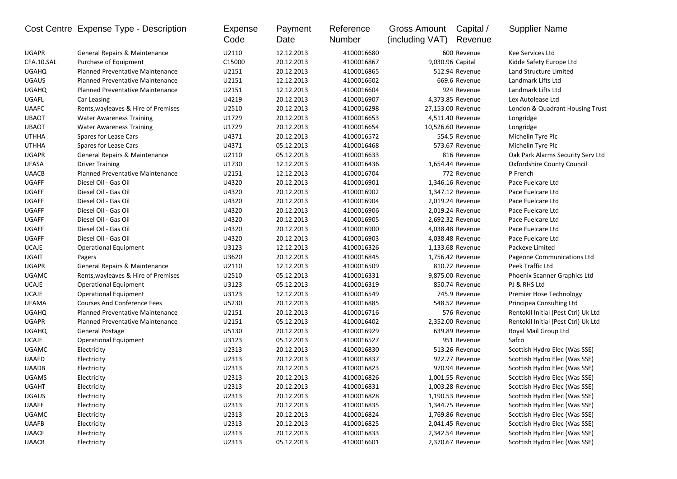|              | Cost Centre Expense Type - Description  | Expense<br>Code | Payment<br>Date | Reference<br>Number | Gross Amount<br>(including VAT) | Capital /<br>Revenue | <b>Supplier Name</b>                |
|--------------|-----------------------------------------|-----------------|-----------------|---------------------|---------------------------------|----------------------|-------------------------------------|
| <b>UGAPR</b> | General Repairs & Maintenance           | U2110           | 12.12.2013      | 4100016680          |                                 | 600 Revenue          | Kee Services Ltd                    |
| CFA.10.SAL   | Purchase of Equipment                   | C15000          | 20.12.2013      | 4100016867          |                                 | 9,030.96 Capital     | Kidde Safety Europe Ltd             |
| <b>UGAHQ</b> | Planned Preventative Maintenance        | U2151           | 20.12.2013      | 4100016865          |                                 | 512.94 Revenue       | Land Structure Limited              |
| <b>UGAUS</b> | Planned Preventative Maintenance        | U2151           | 12.12.2013      | 4100016602          |                                 | 669.6 Revenue        | Landmark Lifts Ltd                  |
| <b>UGAHQ</b> | Planned Preventative Maintenance        | U2151           | 12.12.2013      | 4100016604          |                                 | 924 Revenue          | Landmark Lifts Ltd                  |
| UGAFL        | Car Leasing                             | U4219           | 20.12.2013      | 4100016907          |                                 | 4,373.85 Revenue     | Lex Autolease Ltd                   |
| <b>UAAFC</b> | Rents, wayleaves & Hire of Premises     | U2510           | 20.12.2013      | 4100016298          |                                 | 27,153.00 Revenue    | London & Quadrant Housing Trust     |
| <b>UBAOT</b> | <b>Water Awareness Training</b>         | U1729           | 20.12.2013      | 4100016653          |                                 | 4,511.40 Revenue     | Longridge                           |
| <b>UBAOT</b> | <b>Water Awareness Training</b>         | U1729           | 20.12.2013      | 4100016654          |                                 | 10,526.60 Revenue    | Longridge                           |
| <b>UTHHA</b> | Spares for Lease Cars                   | U4371           | 20.12.2013      | 4100016572          |                                 | 554.5 Revenue        | Michelin Tyre Plc                   |
| <b>UTHHA</b> | Spares for Lease Cars                   | U4371           | 05.12.2013      | 4100016468          |                                 | 573.67 Revenue       | Michelin Tyre Plc                   |
| <b>UGAPR</b> | General Repairs & Maintenance           | U2110           | 05.12.2013      | 4100016633          |                                 | 816 Revenue          | Oak Park Alarms Security Serv Ltd   |
| <b>UFASA</b> | <b>Driver Training</b>                  | U1730           | 12.12.2013      | 4100016436          |                                 | 1,654.44 Revenue     | Oxfordshire County Council          |
| <b>UAACB</b> | <b>Planned Preventative Maintenance</b> | U2151           | 12.12.2013      | 4100016704          |                                 | 772 Revenue          | P French                            |
| <b>UGAFF</b> | Diesel Oil - Gas Oil                    | U4320           | 20.12.2013      | 4100016901          |                                 | 1,346.16 Revenue     | Pace Fuelcare Ltd                   |
| UGAFF        | Diesel Oil - Gas Oil                    | U4320           | 20.12.2013      | 4100016902          |                                 | 1,347.12 Revenue     | Pace Fuelcare Ltd                   |
| UGAFF        | Diesel Oil - Gas Oil                    | U4320           | 20.12.2013      | 4100016904          |                                 | 2,019.24 Revenue     | Pace Fuelcare Ltd                   |
| <b>UGAFF</b> | Diesel Oil - Gas Oil                    | U4320           | 20.12.2013      | 4100016906          |                                 | 2,019.24 Revenue     | Pace Fuelcare Ltd                   |
| <b>UGAFF</b> | Diesel Oil - Gas Oil                    | U4320           | 20.12.2013      | 4100016905          |                                 | 2,692.32 Revenue     | Pace Fuelcare Ltd                   |
| <b>UGAFF</b> | Diesel Oil - Gas Oil                    | U4320           | 20.12.2013      | 4100016900          |                                 | 4,038.48 Revenue     | Pace Fuelcare Ltd                   |
| <b>UGAFF</b> | Diesel Oil - Gas Oil                    | U4320           | 20.12.2013      | 4100016903          |                                 | 4,038.48 Revenue     | Pace Fuelcare Ltd                   |
| <b>UCAJE</b> | <b>Operational Equipment</b>            | U3123           | 12.12.2013      | 4100016326          |                                 | 1,133.68 Revenue     | Packexe Limited                     |
| <b>UGAIT</b> | Pagers                                  | U3620           | 20.12.2013      | 4100016845          |                                 | 1,756.42 Revenue     | Pageone Communications Ltd          |
| <b>UGAPR</b> | General Repairs & Maintenance           | U2110           | 12.12.2013      | 4100016509          |                                 | 810.72 Revenue       | Peek Traffic Ltd                    |
| <b>UGAMC</b> | Rents, wayleaves & Hire of Premises     | U2510           | 05.12.2013      | 4100016331          |                                 | 9,875.00 Revenue     | Phoenix Scanner Graphics Ltd        |
| <b>UCAJE</b> | <b>Operational Equipment</b>            | U3123           | 05.12.2013      | 4100016319          |                                 | 850.74 Revenue       | PJ & RHS Ltd                        |
| <b>UCAJE</b> | Operational Equipment                   | U3123           | 12.12.2013      | 4100016549          |                                 | 745.9 Revenue        | Premier Hose Technology             |
| <b>UFAMA</b> | <b>Courses And Conference Fees</b>      | U5230           | 20.12.2013      | 4100016885          |                                 | 548.52 Revenue       | Principea Consulting Ltd            |
| <b>UGAHQ</b> | Planned Preventative Maintenance        | U2151           | 20.12.2013      | 4100016716          |                                 | 576 Revenue          | Rentokil Initial (Pest Ctrl) Uk Ltd |
| <b>UGAPR</b> | Planned Preventative Maintenance        | U2151           | 05.12.2013      | 4100016402          |                                 | 2,352.00 Revenue     | Rentokil Initial (Pest Ctrl) Uk Ltd |
| <b>UGAHQ</b> | General Postage                         | U5130           | 20.12.2013      | 4100016929          |                                 | 639.89 Revenue       | Royal Mail Group Ltd                |
| <b>UCAJE</b> | <b>Operational Equipment</b>            | U3123           | 05.12.2013      | 4100016527          |                                 | 951 Revenue          | Safco                               |
| <b>UGAMC</b> | Electricity                             | U2313           | 20.12.2013      | 4100016830          |                                 | 513.26 Revenue       | Scottish Hydro Elec (Was SSE)       |
| <b>UAAFD</b> | Electricity                             | U2313           | 20.12.2013      | 4100016837          |                                 | 922.77 Revenue       | Scottish Hydro Elec (Was SSE)       |
| <b>UAADB</b> | Electricity                             | U2313           | 20.12.2013      | 4100016823          |                                 | 970.94 Revenue       | Scottish Hydro Elec (Was SSE)       |
| <b>UGAMS</b> | Electricity                             | U2313           | 20.12.2013      | 4100016826          |                                 | 1,001.55 Revenue     | Scottish Hydro Elec (Was SSE)       |
| <b>UGAHT</b> | Electricity                             | U2313           | 20.12.2013      | 4100016831          |                                 | 1,003.28 Revenue     | Scottish Hydro Elec (Was SSE)       |
| <b>UGAUS</b> | Electricity                             | U2313           | 20.12.2013      | 4100016828          |                                 | 1,190.53 Revenue     | Scottish Hydro Elec (Was SSE)       |
| UAAFE        | Electricity                             | U2313           | 20.12.2013      | 4100016835          |                                 | 1,344.75 Revenue     | Scottish Hydro Elec (Was SSE)       |
| <b>UGAMC</b> | Electricity                             | U2313           | 20.12.2013      | 4100016824          |                                 | 1,769.86 Revenue     | Scottish Hydro Elec (Was SSE)       |
| <b>UAAFB</b> | Electricity                             | U2313           | 20.12.2013      | 4100016825          |                                 | 2,041.45 Revenue     | Scottish Hydro Elec (Was SSE)       |
| <b>UAACF</b> | Electricity                             | U2313           | 20.12.2013      | 4100016833          |                                 | 2,342.54 Revenue     | Scottish Hydro Elec (Was SSE)       |
| <b>UAACB</b> | Electricity                             | U2313           | 05.12.2013      | 4100016601          |                                 | 2,370.67 Revenue     | Scottish Hydro Elec (Was SSE)       |